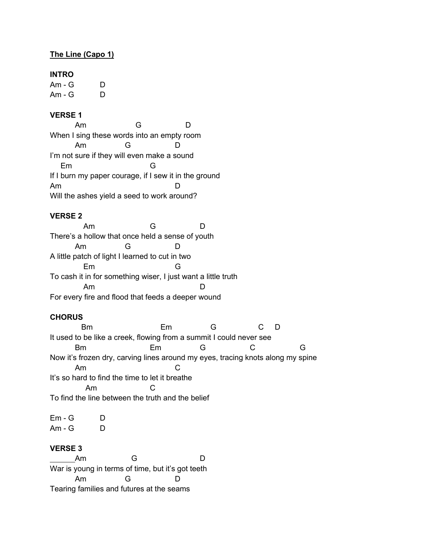## **The Line (Capo 1)**

#### **INTRO**

Am - G D Am - G D

## **VERSE 1**

Am G D When I sing these words into an empty room Am G D I'm not sure if they will even make a sound Em G If I burn my paper courage, if I sew it in the ground Am D Will the ashes yield a seed to work around?

#### **VERSE 2**

 Am G D There's a hollow that once held a sense of youth Am G D A little patch of light I learned to cut in two Em G To cash it in for something wiser, I just want a little truth Am D For every fire and flood that feeds a deeper wound

#### **CHORUS**

 Bm Em G C D It used to be like a creek, flowing from a summit I could never see Bm Em G C G Now it's frozen dry, carving lines around my eyes, tracing knots along my spine Am C It's so hard to find the time to let it breathe Am C To find the line between the truth and the belief

 $Em - G$   $D$ Am - G D

## **VERSE 3**

Am G D War is young in terms of time, but it's got teeth Am G D Tearing families and futures at the seams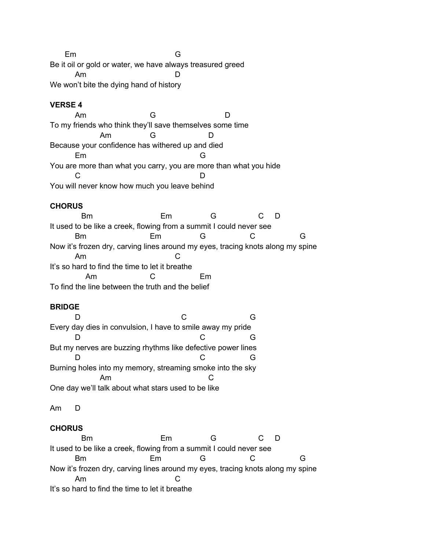Em G Be it oil or gold or water, we have always treasured greed Am D We won't bite the dying hand of history

# **VERSE 4**

Am G D To my friends who think they'll save themselves some time Am G D Because your confidence has withered up and died Em G You are more than what you carry, you are more than what you hide C<sub>D</sub> You will never know how much you leave behind

# **CHORUS**

 Bm Em G C D It used to be like a creek, flowing from a summit I could never see Bm Em G C G Now it's frozen dry, carving lines around my eyes, tracing knots along my spine Am C It's so hard to find the time to let it breathe Am C Em To find the line between the truth and the belief

# **BRIDGE**

D C G Every day dies in convulsion, I have to smile away my pride D C G But my nerves are buzzing rhythms like defective power lines D C G Burning holes into my memory, streaming smoke into the sky Am C One day we'll talk about what stars used to be like

Am D

# **CHORUS**

 Bm Em G C D It used to be like a creek, flowing from a summit I could never see Bm Em G C G Now it's frozen dry, carving lines around my eyes, tracing knots along my spine Am C It's so hard to find the time to let it breathe